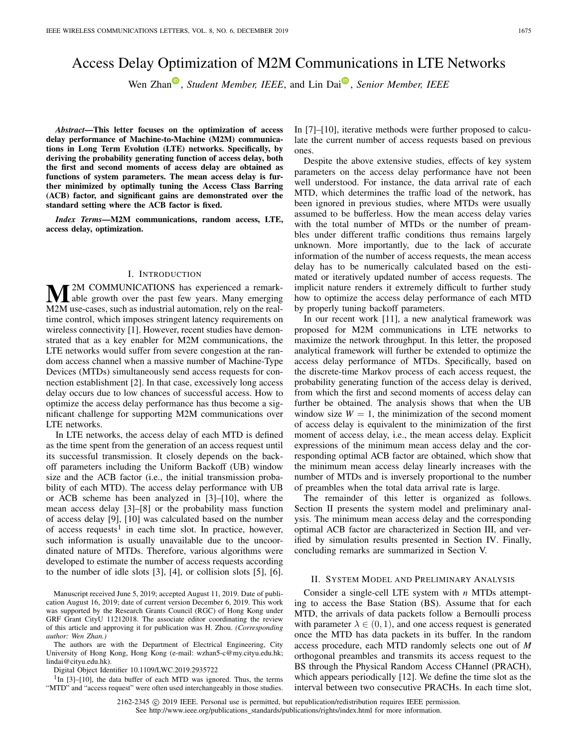# Access Delay Optimization of M2M Communications in LTE Networks

We[n](https://orcid.org/0000-0002-3129-7893) Zhan<sup><sup>®</sup>, *Student Member, IEEE*, and L[i](https://orcid.org/0000-0001-8258-6727)n Dai<sup>®</sup>, *Senior Member, IEEE*</sup>

*Abstract***—This letter focuses on the optimization of access delay performance of Machine-to-Machine (M2M) communications in Long Term Evolution (LTE) networks. Specifically, by deriving the probability generating function of access delay, both the first and second moments of access delay are obtained as functions of system parameters. The mean access delay is further minimized by optimally tuning the Access Class Barring (ACB) factor, and significant gains are demonstrated over the standard setting where the ACB factor is fixed.**

*Index Terms***—M2M communications, random access, LTE, access delay, optimization.**

# I. INTRODUCTION

**M**<sup>2M</sup> COMMUNICATIONS has experienced a remark-<br>able growth over the past few years. Many emerging M2M use-cases, such as industrial automation, rely on the realtime control, which imposes stringent latency requirements on wireless connectivity [\[1\]](#page-3-0). However, recent studies have demonstrated that as a key enabler for M2M communications, the LTE networks would suffer from severe congestion at the random access channel when a massive number of Machine-Type Devices (MTDs) simultaneously send access requests for connection establishment [\[2\]](#page-3-1). In that case, excessively long access delay occurs due to low chances of successful access. How to optimize the access delay performance has thus become a significant challenge for supporting M2M communications over LTE networks.

In LTE networks, the access delay of each MTD is defined as the time spent from the generation of an access request until its successful transmission. It closely depends on the backoff parameters including the Uniform Backoff (UB) window size and the ACB factor (i.e., the initial transmission probability of each MTD). The access delay performance with UB or ACB scheme has been analyzed in [\[3\]](#page-3-2)–[\[10\]](#page-3-3), where the mean access delay [\[3\]](#page-3-2)–[\[8\]](#page-3-4) or the probability mass function of access delay [\[9\]](#page-3-5), [\[10\]](#page-3-3) was calculated based on the number of access requests<sup>1</sup> in each time slot. In practice, however, such information is usually unavailable due to the uncoordinated nature of MTDs. Therefore, various algorithms were developed to estimate the number of access requests according to the number of idle slots [\[3\]](#page-3-2), [\[4\]](#page-3-6), or collision slots [\[5\]](#page-3-7), [\[6\]](#page-3-8).

Manuscript received June 5, 2019; accepted August 11, 2019. Date of publication August 16, 2019; date of current version December 6, 2019. This work was supported by the Research Grants Council (RGC) of Hong Kong under GRF Grant CityU 11212018. The associate editor coordinating the review of this article and approving it for publication was H. Zhou. *(Corresponding author: Wen Zhan.)*

The authors are with the Department of Electrical Engineering, City University of Hong Kong, Hong Kong (e-mail: wzhan5-c@my.cityu.edu.hk; lindai@cityu.edu.hk).

Digital Object Identifier 10.1109/LWC.2019.2935722

<span id="page-0-0"></span><sup>1</sup>In [\[3\]](#page-3-2)–[\[10\]](#page-3-3), the data buffer of each MTD was ignored. Thus, the terms "MTD" and "access request" were often used interchangeably in those studies. In [\[7\]](#page-3-9)–[\[10\]](#page-3-3), iterative methods were further proposed to calculate the current number of access requests based on previous ones.

Despite the above extensive studies, effects of key system parameters on the access delay performance have not been well understood. For instance, the data arrival rate of each MTD, which determines the traffic load of the network, has been ignored in previous studies, where MTDs were usually assumed to be bufferless. How the mean access delay varies with the total number of MTDs or the number of preambles under different traffic conditions thus remains largely unknown. More importantly, due to the lack of accurate information of the number of access requests, the mean access delay has to be numerically calculated based on the estimated or iteratively updated number of access requests. The implicit nature renders it extremely difficult to further study how to optimize the access delay performance of each MTD by properly tuning backoff parameters.

In our recent work [\[11\]](#page-3-10), a new analytical framework was proposed for M2M communications in LTE networks to maximize the network throughput. In this letter, the proposed analytical framework will further be extended to optimize the access delay performance of MTDs. Specifically, based on the discrete-time Markov process of each access request, the probability generating function of the access delay is derived, from which the first and second moments of access delay can further be obtained. The analysis shows that when the UB window size  $W = 1$ , the minimization of the second moment of access delay is equivalent to the minimization of the first moment of access delay, i.e., the mean access delay. Explicit expressions of the minimum mean access delay and the corresponding optimal ACB factor are obtained, which show that the minimum mean access delay linearly increases with the number of MTDs and is inversely proportional to the number of preambles when the total data arrival rate is large.

The remainder of this letter is organized as follows. Section [II](#page-0-1) presents the system model and preliminary analysis. The minimum mean access delay and the corresponding optimal ACB factor are characterized in Section [III,](#page-1-0) and verified by simulation results presented in Section [IV.](#page-2-0) Finally, concluding remarks are summarized in Section V.

## <span id="page-0-1"></span>II. SYSTEM MODEL AND PRELIMINARY ANALYSIS

Consider a single-cell LTE system with *n* MTDs attempting to access the Base Station (BS). Assume that for each MTD, the arrivals of data packets follow a Bernoulli process with parameter  $\lambda \in (0, 1)$ , and one access request is generated once the MTD has data packets in its buffer. In the random access procedure, each MTD randomly selects one out of *M* orthogonal preambles and transmits its access request to the BS through the Physical Random Access CHannel (PRACH), which appears periodically [\[12\]](#page-3-11). We define the time slot as the interval between two consecutive PRACHs. In each time slot,

2162-2345 © 2019 IEEE. Personal use is permitted, but republication/redistribution requires IEEE permission. See http://www.ieee.org/publications\_standards/publications/rights/index.html for more information.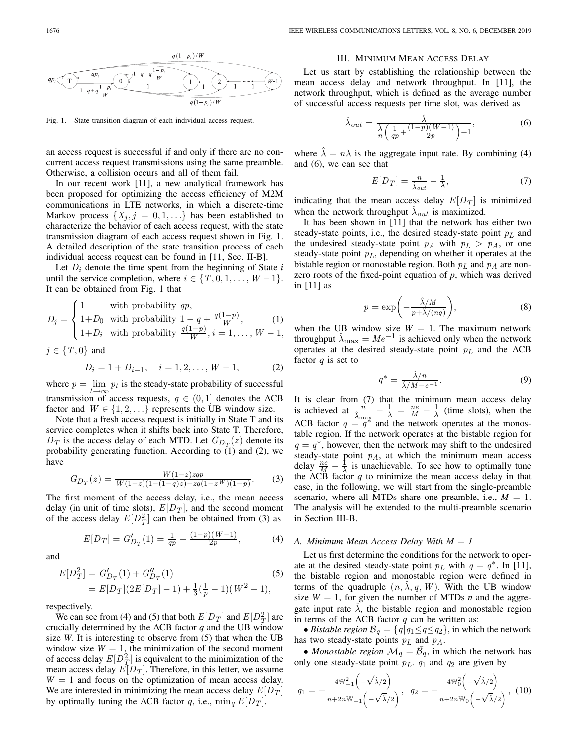

<span id="page-1-1"></span>Fig. 1. State transition diagram of each individual access request.

an access request is successful if and only if there are no concurrent access request transmissions using the same preamble. Otherwise, a collision occurs and all of them fail.

In our recent work [\[11\]](#page-3-10), a new analytical framework has been proposed for optimizing the access efficiency of M2M communications in LTE networks, in which a discrete-time Markov process  $\{X_i, j = 0, 1, \ldots\}$  has been established to characterize the behavior of each access request, with the state transmission diagram of each access request shown in Fig. [1.](#page-1-1) A detailed description of the state transition process of each individual access request can be found in [\[11,](#page-3-10) Sec. II-B].

Let  $D_i$  denote the time spent from the beginning of State  $i$ until the service completion, where  $i \in \{T, 0, 1, \ldots, W - 1\}$ . It can be obtained from Fig. [1](#page-1-1) that

<span id="page-1-2"></span>
$$
D_j = \begin{cases} 1 & \text{with probability } qp, \\ 1 + D_0 & \text{with probability } 1 - q + \frac{q(1-p)}{W}, \\ 1 + D_i & \text{with probability } \frac{q(1-p)}{W}, \, i = 1, \dots, W - 1, \end{cases} \tag{1}
$$

 $j \in \{T, 0\}$  and

<span id="page-1-3"></span>
$$
D_i = 1 + D_{i-1}, \quad i = 1, 2, \dots, W - 1,
$$
 (2)

where  $p = \lim_{t \to \infty} p_t$  is the steady-state probability of successful transmission of access requests,  $q \in (0, 1]$  denotes the ACB factor and  $W \in \{1, 2, \ldots\}$  represents the UB window size.

Note that a fresh access request is initially in State T and its service completes when it shifts back into State T. Therefore,  $D_T$  is the access delay of each MTD. Let  $G_{D_T}(z)$  denote its probability generating function. According to  $(1)$  and  $(2)$ , we have

<span id="page-1-4"></span>
$$
G_{D_T}(z) = \frac{W(1-z)zqp}{W(1-z)(1-(1-q)z)-zq(1-z^W)(1-p)}.\tag{3}
$$

The first moment of the access delay, i.e., the mean access delay (in unit of time slots),  $E[D_T]$ , and the second moment of the access delay  $E[D_T^2]$  can then be obtained from [\(3\)](#page-1-4) as

<span id="page-1-5"></span>
$$
E[D_T] = G'_{D_T}(1) = \frac{1}{qp} + \frac{(1-p)(W-1)}{2p},\tag{4}
$$

and

<span id="page-1-6"></span>
$$
E[D_T^2] = G'_{D_T}(1) + G''_{D_T}(1)
$$
\n
$$
= E[D_T](2E[D_T] - 1) + \frac{1}{3}(\frac{1}{p} - 1)(W^2 - 1),
$$
\n(5)

respectively.

We can see from [\(4\)](#page-1-5) and [\(5\)](#page-1-6) that both  $E[D_T]$  and  $E[D_T^2]$  are usually determined by the ACB factor *a* and the UB window crucially determined by the ACB factor *q* and the UB window size *W*. It is interesting to observe from [\(5\)](#page-1-6) that when the UB window size  $W = 1$ , the minimization of the second moment of access delay  $E[D_T^2]$  is equivalent to the minimization of the mean access delay  $E[D_T]$ . Therefore, in this letter, we assume mean access delay  $E[D_T]$ . Therefore, in this letter, we assume  $W = 1$  and focus on the optimization of mean access delay. We are interested in minimizing the mean access delay  $E[D_T]$ by optimally tuning the ACB factor *q*, i.e.,  $\min_{q} E[D_T]$ .

## III. MINIMUM MEAN ACCESS DELAY

<span id="page-1-0"></span>Let us start by establishing the relationship between the mean access delay and network throughput. In [\[11\]](#page-3-10), the network throughput, which is defined as the average number of successful access requests per time slot, was derived as

<span id="page-1-7"></span>
$$
\hat{\lambda}_{out} = \frac{\hat{\lambda}}{n} \left( \frac{1}{qp} + \frac{(1-p)(W-1)}{2p} \right) + 1},\tag{6}
$$

where  $\lambda = n\lambda$  is the aggregate input rate. By combining [\(4\)](#page-1-5) and [\(6\)](#page-1-7), we can see that

<span id="page-1-8"></span>
$$
E[D_T] = \frac{n}{\hat{\lambda}_{out}} - \frac{1}{\lambda},\tag{7}
$$

indicating that the mean access delay  $E[D_T]$  is minimized when the network throughput  $\lambda_{out}$  is maximized.

It has been shown in [\[11\]](#page-3-10) that the network has either two steady-state points, i.e., the desired steady-state point *p<sup>L</sup>* and the undesired steady-state point  $p_A$  with  $p_L > p_A$ , or one steady-state point *pL*, depending on whether it operates at the bistable region or monostable region. Both *p<sup>L</sup>* and *p<sup>A</sup>* are nonzero roots of the fixed-point equation of *p*, which was derived in [\[11\]](#page-3-10) as

<span id="page-1-11"></span>
$$
p = \exp\left(-\frac{\hat{\lambda}/M}{p + \hat{\lambda}/(nq)}\right),\tag{8}
$$

when the UB window size  $W = 1$ . The maximum network<br>throughput  $\hat{\lambda}_{\text{max}} = Me^{-1}$  is achieved only when the network throughput  $\hat{\lambda}_{\text{max}} = Me^{-1}$  is achieved only when the network<br>operates at the desired steady-state point  $p_L$  and the ACB operates at the desired steady-state point *p<sup>L</sup>* and the ACB factor *q* is set to

<span id="page-1-9"></span>
$$
q^* = \frac{\hat{\lambda}/n}{\hat{\lambda}/M - e^{-1}}.\tag{9}
$$

It is clear from [\(7\)](#page-1-8) that the minimum mean access delay is achieved at  $\frac{n}{\lambda_{\text{max}}} - \frac{1}{\lambda} = \frac{ne}{M} - \frac{1}{\lambda}$  (time slots), when the ACB factor  $q = q^*$  and the network operates at the monos-<br>table region. If the network operates at the bistable region for table region. If the network operates at the bistable region for  $q = q^*$ , however, then the network may shift to the undesired steady-state point *pA*, at which the minimum mean access delay  $\frac{ne}{M} - \frac{1}{\lambda}$  is unachievable. To see how to optimally tune the ACB factor *q* to minimize the mean access delay in that case, in the following, we will start from the single-preamble scenario, where all MTDs share one preamble, i.e.,  $M = 1$ . The analysis will be extended to the multi-preamble scenario in Section [III-B.](#page-2-1)

#### *A. Minimum Mean Access Delay With M* = *<sup>1</sup>*

Let us first determine the conditions for the network to operate at the desired steady-state point  $p<sub>L</sub>$  with  $q = q^*$ . In [\[11\]](#page-3-10), the bistable region and monostable region were defined in terms of the quadruple  $(n, \lambda, q, W)$ . With the UB window size  $W = 1$ , for given the number of MTDs *n* and the aggregate input rate  $\lambda$ , the bistable region and monostable region in terms of the ACB factor  $q$  can be written as:

• *Bistable region*  $B_q = \{q | q_1 \leq q \leq q_2\}$ , in which the network has two steady-state points *p<sup>L</sup>* and *pA*.

• *Monostable region*  $\mathcal{M}_q = \mathcal{B}_q$ , in which the network has only one steady-state point  $p<sub>L</sub>$ .  $q<sub>1</sub>$  and  $q<sub>2</sub>$  are given by

<span id="page-1-10"></span>
$$
q_1 = -\frac{4W_{-1}^2(-\sqrt{\hat{\lambda}}/2)}{n+2nW_{-1}(-\sqrt{\hat{\lambda}}/2)}, \quad q_2 = -\frac{4W_0^2(-\sqrt{\hat{\lambda}}/2)}{n+2nW_0(-\sqrt{\hat{\lambda}}/2)}, \quad (10)
$$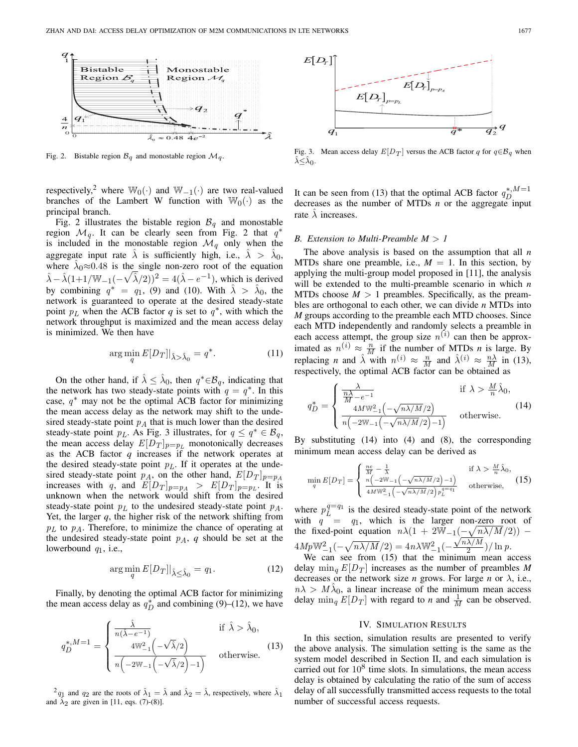

<span id="page-2-3"></span>Fig. 2. Bistable region  $\mathcal{B}_q$  and monostable region  $\mathcal{M}_q$ .

respectively,<sup>[2](#page-2-2)</sup> where  $\mathbb{W}_0(\cdot)$  and  $\mathbb{W}_{-1}(\cdot)$  are two real-valued branches of the Lambert W function with  $\mathbb{W}_0(\cdot)$  as the principal branch.

Fig. [2](#page-2-3) illustrates the bistable region  $B_q$  and monostable region  $\mathcal{M}_q$ . It can be clearly seen from Fig. [2](#page-2-3) that  $q^*$ is included in the monostable region  $\mathcal{M}_q$  only when the aggregate input rate  $\lambda$  is sufficiently high, i.e.,  $\lambda > \lambda_0$ , where  $\lambda_0 \approx 0.48$  is the single non-zero root of the equation  $\hat{\lambda} - \hat{\lambda}(1+1/\mathbb{W}_{-1}(-\sqrt{\hat{\lambda}}/2))^2 = 4(\hat{\lambda} - e^{-1})$ , which is derived<br>by combining  $e^* = e^*$  (9) and (10) With  $\hat{\lambda} > \hat{\lambda}$  the by combining  $q^* = q_1$ , [\(9\)](#page-1-9) and [\(10\)](#page-1-10). With  $\hat{\lambda} > \hat{\lambda}_0$ , the network is guaranteed to operate at the desired steady-state point  $p<sub>L</sub>$  when the ACB factor *q* is set to  $q^*$ , with which the network throughput is maximized and the mean access delay is minimized. We then have

$$
\arg\min_{q} E[D_T]|_{\hat{\lambda} > \hat{\lambda}_0} = q^*.
$$
 (11)

On the other hand, if  $\lambda \leq \lambda_0$ , then  $q^* \in \mathcal{B}_q$ , indicating that the network has two steady-state points with  $q = q^*$ . In this case, *q*<sup>∗</sup> may not be the optimal ACB factor for minimizing the mean access delay as the network may shift to the undesired steady-state point  $p_A$  that is much lower than the desired steady-state point *p*<sub>*L*</sub>. As Fig. [3](#page-2-4) illustrates, for  $q \le q^* \in \mathcal{B}_q$ , the mean access delay  $E[D_T]_{p=p_L}$  monotonically decreases as the ACB factor  $q$  increases if the network operates at the desired steady-state point  $p<sub>L</sub>$ . If it operates at the undesired steady-state point  $p_A$ , on the other hand,  $E[D_T]_{p=p_A}$ increases with *q*, and  $E[D_T]_{p=p_A} > E[D_T]_{p=p_L}$ . It is unknown when the network would shift from the desired steady-state point *p<sup>L</sup>* to the undesired steady-state point *pA*. Yet, the larger *q*, the higher risk of the network shifting from *p<sup>L</sup>* to *pA*. Therefore, to minimize the chance of operating at the undesired steady-state point  $p_A$ ,  $q$  should be set at the lowerbound *q*1, i.e.,

<span id="page-2-5"></span>
$$
\arg\min_{q} E[D_T] \big|_{\hat{\lambda} \le \hat{\lambda}_0} = q_1. \tag{12}
$$

Finally, by denoting the optimal ACB factor for minimizing the mean access delay as  $q_D^*$  and combining [\(9\)](#page-1-9)–[\(12\)](#page-2-5), we have

<span id="page-2-6"></span>
$$
q_D^{*,M=1} = \begin{cases} \frac{\hat{\lambda}}{n(\hat{\lambda} - e^{-1})} & \text{if } \hat{\lambda} > \hat{\lambda}_0, \\ \frac{4\mathbb{W}_{-1}^2\left(-\sqrt{\hat{\lambda}}/2\right)}{n\left(-2\mathbb{W}_{-1}\left(-\sqrt{\hat{\lambda}}/2\right) - 1\right)} & \text{otherwise.} \end{cases}
$$
(13)

<span id="page-2-2"></span> $^{2}q_{1}$  and  $q_{2}$  are the roots of  $\hat{\lambda}_{1} = \hat{\lambda}$  and  $\hat{\lambda}_{2} = \hat{\lambda}$ , respectively, where  $\hat{\lambda}_{1}$ and  $\lambda_2$  are given in [\[11,](#page-3-10) eqs. (7)-(8)].



<span id="page-2-4"></span>Fig. 3. Mean access delay  $E[D_T]$  versus the ACB factor *q* for  $q \in \mathcal{B}_q$  when  $\lambda \leq \lambda_0$ .

It can be seen from [\(13\)](#page-2-6) that the optimal ACB factor  $q_D^*, M=1$ decreases as the number of MTDs *n* or the aggregate input rate  $\lambda$  increases.

# <span id="page-2-1"></span>*B. Extension to Multi-Preamble M* > *1*

The above analysis is based on the assumption that all *n* MTDs share one preamble, i.e.,  $M = 1$ . In this section, by applying the multi-group model proposed in [\[11\]](#page-3-10), the analysis will be extended to the multi-preamble scenario in which *n* MTDs choose  $M > 1$  preambles. Specifically, as the preambles are orthogonal to each other, we can divide *n* MTDs into *M* groups according to the preamble each MTD chooses. Since each MTD independently and randomly selects a preamble in each access attempt, the group size  $n^{(i)}$  can then be approximated as  $n^{(i)} \approx \frac{n}{M}$  if the number of MTDs *n* is large. By replacing *n* and  $\hat{\lambda}$  with  $n^{(i)} \approx \frac{n}{M}$  and  $\hat{\lambda}^{(i)} \approx \frac{n\lambda}{M}$  in [\(13\)](#page-2-6), respectively, the optimal ACB factor can be obtained as

<span id="page-2-7"></span>
$$
q_D^* = \begin{cases} \frac{\lambda}{\frac{n\lambda}{M} - e^{-1}} & \text{if } \lambda > \frac{M}{n}\hat{\lambda}_0, \\ \frac{4MW^2}{n\left(-2W_{-1}\left(-\sqrt{n\lambda/M}/2\right) - 1\right)} & \text{otherwise.} \end{cases}
$$
(14)

By substituting [\(14\)](#page-2-7) into [\(4\)](#page-1-5) and [\(8\)](#page-1-11), the corresponding minimum mean access delay can be derived as

<span id="page-2-8"></span>
$$
\min_{q} E[D_T] = \begin{cases} \frac{ne - \frac{1}{\lambda}}{M} & \text{if } \lambda > \frac{M}{n} \hat{\lambda}_0, \\ \frac{n\left(-2W_{-1}\left(-\sqrt{n\lambda/M}/2\right) - 1\right)}{4MW_{-1}^2\left(-\sqrt{n\lambda/M}/2\right)p_L^{q=q_1}} & \text{otherwise,} \end{cases}
$$
(15)

where  $p_L^{q=q_1}$  is the desired steady-state point of the network with  $q^2 = q_1$ , which is the larger non-zero root of the fixed-point equation  $n\lambda(1 + 2\overline{W}_{-1}(-\sqrt{n\lambda/M}/2))$  –  $4MpW_{-1}^2(-\sqrt{n\lambda/M}/2) = 4n\lambda W_{-1}^2(-$ <br>We can see from (15) that the min  $\sqrt[n]{n\lambda/M}$  $\frac{\lambda \mu}{2}$  ) / ln *p*.<br>im mean a

We can see from  $(15)$  that the minimum mean access delay  $\min_q E[D_T]$  increases as the number of preambles M decreases or the network size *n* grows. For large *n* or  $\lambda$ , i.e.,  $n\lambda > M\lambda_0$ , a linear increase of the minimum mean access delay  $\min_q E[D_T]$  with regard to *n* and  $\frac{1}{M}$  can be observed.

#### IV. SIMULATION RESULTS

<span id="page-2-0"></span>In this section, simulation results are presented to verify the above analysis. The simulation setting is the same as the system model described in Section [II,](#page-0-1) and each simulation is carried out for  $10<sup>8</sup>$  time slots. In simulations, the mean access delay is obtained by calculating the ratio of the sum of access delay of all successfully transmitted access requests to the total number of successful access requests.